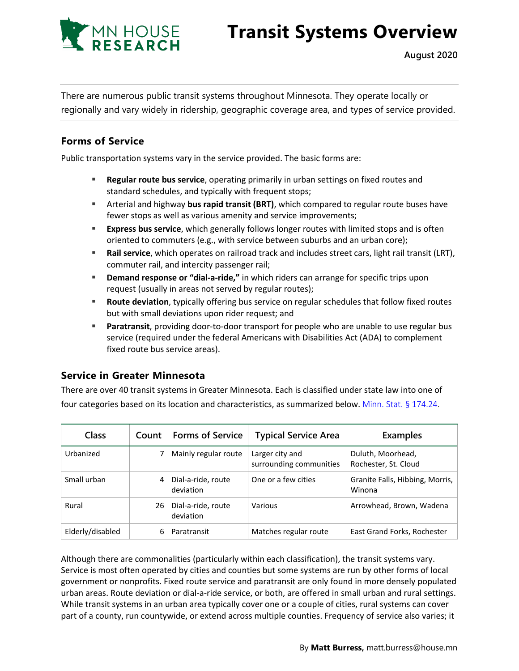

# **Transit Systems Overview**

There are numerous public transit systems throughout Minnesota. They operate locally or regionally and vary widely in ridership, geographic coverage area, and types of service provided.

## **Forms of Service**

Public transportation systems vary in the service provided. The basic forms are:

- **Regular route bus service**, operating primarily in urban settings on fixed routes and standard schedules, and typically with frequent stops;
- Arterial and highway **bus rapid transit (BRT)**, which compared to regular route buses have fewer stops as well as various amenity and service improvements;
- **Express bus service**, which generally follows longer routes with limited stops and is often oriented to commuters (e.g., with service between suburbs and an urban core);
- **Rail service**, which operates on railroad track and includes street cars, light rail transit (LRT), commuter rail, and intercity passenger rail;
- **Demand response or "dial-a-ride,"** in which riders can arrange for specific trips upon request (usually in areas not served by regular routes);
- **Route deviation**, typically offering bus service on regular schedules that follow fixed routes but with small deviations upon rider request; and
- **Paratransit**, providing door-to-door transport for people who are unable to use regular bus service (required under the federal Americans with Disabilities Act (ADA) to complement fixed route bus service areas).

#### **Service in Greater Minnesota**

There are over 40 transit systems in Greater Minnesota. Each is classified under state law into one of four categories based on its location and characteristics, as summarized below. [Minn. Stat. §](https://www.revisor.mn.gov/statutes/cite/174.24) 174.24.

| <b>Class</b>     | Count | <b>Forms of Service</b>         | <b>Typical Service Area</b>                | <b>Examples</b>                           |
|------------------|-------|---------------------------------|--------------------------------------------|-------------------------------------------|
| Urbanized        |       | Mainly regular route            | Larger city and<br>surrounding communities | Duluth, Moorhead,<br>Rochester, St. Cloud |
| Small urban      |       | Dial-a-ride, route<br>deviation | One or a few cities                        | Granite Falls, Hibbing, Morris,<br>Winona |
| Rural            | 26    | Dial-a-ride, route<br>deviation | Various                                    | Arrowhead, Brown, Wadena                  |
| Elderly/disabled | 6     | Paratransit                     | Matches regular route                      | East Grand Forks, Rochester               |

Although there are commonalities (particularly within each classification), the transit systems vary. Service is most often operated by cities and counties but some systems are run by other forms of local government or nonprofits. Fixed route service and paratransit are only found in more densely populated urban areas. Route deviation or dial-a-ride service, or both, are offered in small urban and rural settings. While transit systems in an urban area typically cover one or a couple of cities, rural systems can cover part of a county, run countywide, or extend across multiple counties. Frequency of service also varies; it